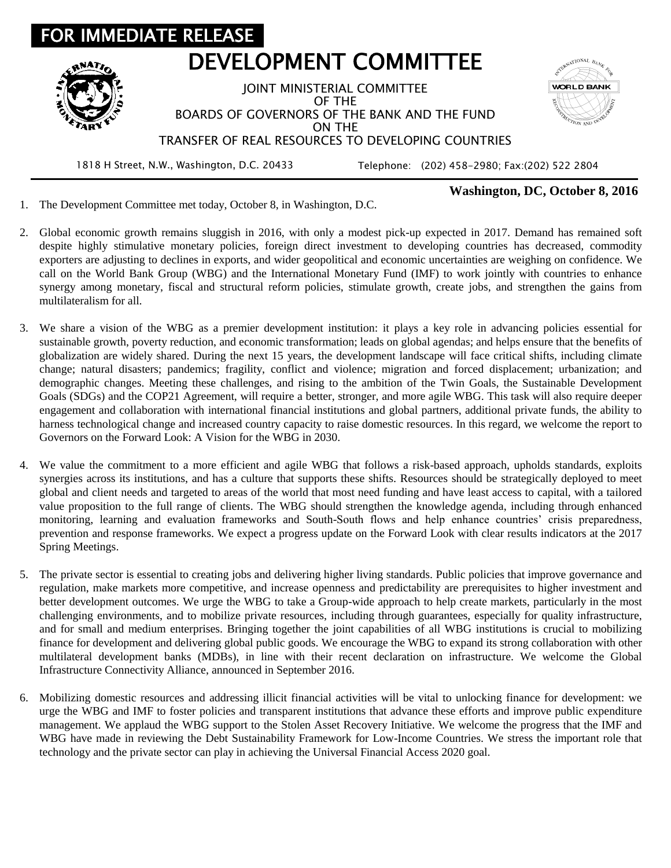

## **Washington, DC, October 8, 2016**

1. The Development Committee met today, October 8, in Washington, D.C.

- 2. Global economic growth remains sluggish in 2016, with only a modest pick-up expected in 2017. Demand has remained soft despite highly stimulative monetary policies, foreign direct investment to developing countries has decreased, commodity exporters are adjusting to declines in exports, and wider geopolitical and economic uncertainties are weighing on confidence. We call on the World Bank Group (WBG) and the International Monetary Fund (IMF) to work jointly with countries to enhance synergy among monetary, fiscal and structural reform policies, stimulate growth, create jobs, and strengthen the gains from multilateralism for all.
- 3. We share a vision of the WBG as a premier development institution: it plays a key role in advancing policies essential for sustainable growth, poverty reduction, and economic transformation; leads on global agendas; and helps ensure that the benefits of globalization are widely shared. During the next 15 years, the development landscape will face critical shifts, including climate change; natural disasters; pandemics; fragility, conflict and violence; migration and forced displacement; urbanization; and demographic changes. Meeting these challenges, and rising to the ambition of the Twin Goals, the Sustainable Development Goals (SDGs) and the COP21 Agreement, will require a better, stronger, and more agile WBG. This task will also require deeper engagement and collaboration with international financial institutions and global partners, additional private funds, the ability to harness technological change and increased country capacity to raise domestic resources. In this regard, we welcome the report to Governors on the Forward Look: A Vision for the WBG in 2030.
- 4. We value the commitment to a more efficient and agile WBG that follows a risk-based approach, upholds standards, exploits synergies across its institutions, and has a culture that supports these shifts. Resources should be strategically deployed to meet global and client needs and targeted to areas of the world that most need funding and have least access to capital, with a tailored value proposition to the full range of clients. The WBG should strengthen the knowledge agenda, including through enhanced monitoring, learning and evaluation frameworks and South-South flows and help enhance countries' crisis preparedness, prevention and response frameworks. We expect a progress update on the Forward Look with clear results indicators at the 2017 Spring Meetings.
- 5. The private sector is essential to creating jobs and delivering higher living standards. Public policies that improve governance and regulation, make markets more competitive, and increase openness and predictability are prerequisites to higher investment and better development outcomes. We urge the WBG to take a Group-wide approach to help create markets, particularly in the most challenging environments, and to mobilize private resources, including through guarantees, especially for quality infrastructure, and for small and medium enterprises. Bringing together the joint capabilities of all WBG institutions is crucial to mobilizing finance for development and delivering global public goods. We encourage the WBG to expand its strong collaboration with other multilateral development banks (MDBs), in line with their recent declaration on infrastructure. We welcome the Global Infrastructure Connectivity Alliance, announced in September 2016.
- 6. Mobilizing domestic resources and addressing illicit financial activities will be vital to unlocking finance for development: we urge the WBG and IMF to foster policies and transparent institutions that advance these efforts and improve public expenditure management. We applaud the WBG support to the Stolen Asset Recovery Initiative. We welcome the progress that the IMF and WBG have made in reviewing the Debt Sustainability Framework for Low-Income Countries. We stress the important role that technology and the private sector can play in achieving the Universal Financial Access 2020 goal.